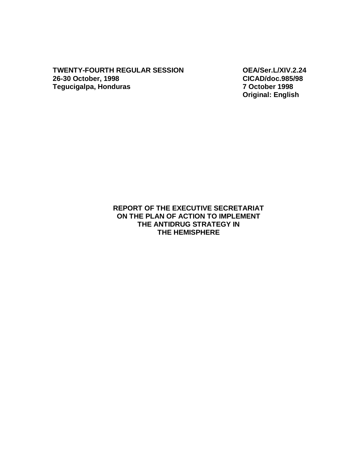**TWENTY-FOURTH REGULAR SESSION OEA/Ser.L/XIV.2.24 26-30 October, 1998 CICAD/doc.985/98 Tegucigalpa, Honduras** 

**Original: English** 

## **REPORT OF THE EXECUTIVE SECRETARIAT ON THE PLAN OF ACTION TO IMPLEMENT THE ANTIDRUG STRATEGY IN THE HEMISPHERE**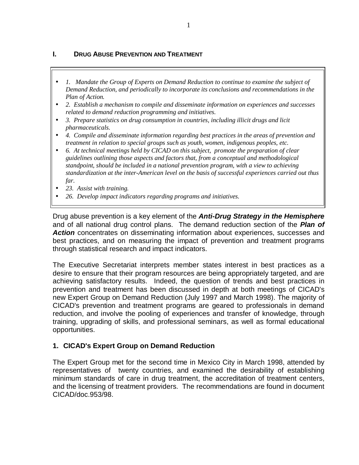## **I. DRUG ABUSE PREVENTION AND TREATMENT**

- *1. Mandate the Group of Experts on Demand Reduction to continue to examine the subject of Demand Reduction, and periodically to incorporate its conclusions and recommendations in the Plan of Action.*
- *2. Establish a mechanism to compile and disseminate information on experiences and successes related to demand reduction programming and initiatives.*
- *3. Prepare statistics on drug consumption in countries, including illicit drugs and licit pharmaceuticals.*
- *4. Compile and disseminate information regarding best practices in the areas of prevention and treatment in relation to special groups such as youth, women, indigenous peoples, etc.*
- *6. At technical meetings held by CICAD on this subject, promote the preparation of clear guidelines outlining those aspects and factors that, from a conceptual and methodological standpoint, should be included in a national prevention program, with a view to achieving standardization at the inter-American level on the basis of successful experiences carried out thus far.*
- *23. Assist with training.*
- *26. Develop impact indicators regarding programs and initiatives.*

Drug abuse prevention is a key element of the *Anti-Drug Strategy in the Hemisphere* and of all national drug control plans. The demand reduction section of the *Plan of Action* concentrates on disseminating information about experiences, successes and best practices, and on measuring the impact of prevention and treatment programs through statistical research and impact indicators.

The Executive Secretariat interprets member states interest in best practices as a desire to ensure that their program resources are being appropriately targeted, and are achieving satisfactory results. Indeed, the question of trends and best practices in prevention and treatment has been discussed in depth at both meetings of CICAD's new Expert Group on Demand Reduction (July 1997 and March 1998). The majority of CICAD's prevention and treatment programs are geared to professionals in demand reduction, and involve the pooling of experiences and transfer of knowledge, through training, upgrading of skills, and professional seminars, as well as formal educational opportunities.

### **1. CICAD's Expert Group on Demand Reduction**

The Expert Group met for the second time in Mexico City in March 1998, attended by representatives of twenty countries, and examined the desirability of establishing minimum standards of care in drug treatment, the accreditation of treatment centers, and the licensing of treatment providers. The recommendations are found in document CICAD/doc.953/98.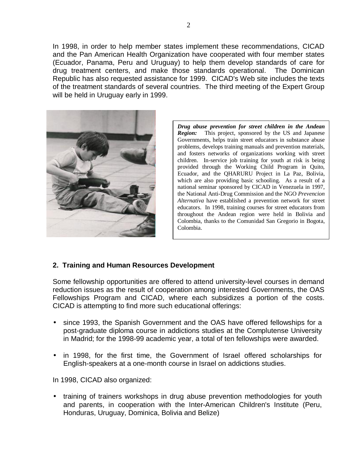In 1998, in order to help member states implement these recommendations, CICAD and the Pan American Health Organization have cooperated with four member states (Ecuador, Panama, Peru and Uruguay) to help them develop standards of care for drug treatment centers, and make those standards operational. The Dominican Republic has also requested assistance for 1999. CICAD's Web site includes the texts of the treatment standards of several countries. The third meeting of the Expert Group will be held in Uruguay early in 1999.



*Drug abuse prevention for street children in the Andean Region:* This project, sponsored by the US and Japanese Governments, helps train street educators in substance abuse problems, develops training manuals and prevention materials, and fosters networks of organizations working with street children. In-service job training for youth at risk is being provided through the Working Child Program in Quito, Ecuador, and the QHARURU Project in La Paz, Bolivia, which are also providing basic schooling. As a result of a national seminar sponsored by CICAD in Venezuela in 1997, the National Anti-Drug Commission and the NGO *Prevencion Alternativa* have established a prevention network for street educators. In 1998, training courses for street educators from throughout the Andean region were held in Bolivia and Colombia, thanks to the Comunidad San Gregorio in Bogota, Colombia.

### **2. Training and Human Resources Development**

Some fellowship opportunities are offered to attend university-level courses in demand reduction issues as the result of cooperation among interested Governments, the OAS Fellowships Program and CICAD, where each subsidizes a portion of the costs. CICAD is attempting to find more such educational offerings:

- since 1993, the Spanish Government and the OAS have offered fellowships for a post-graduate diploma course in addictions studies at the Complutense University in Madrid; for the 1998-99 academic year, a total of ten fellowships were awarded.
- in 1998, for the first time, the Government of Israel offered scholarships for English-speakers at a one-month course in Israel on addictions studies.

In 1998, CICAD also organized:

• training of trainers workshops in drug abuse prevention methodologies for youth and parents, in cooperation with the Inter-American Children's Institute (Peru, Honduras, Uruguay, Dominica, Bolivia and Belize)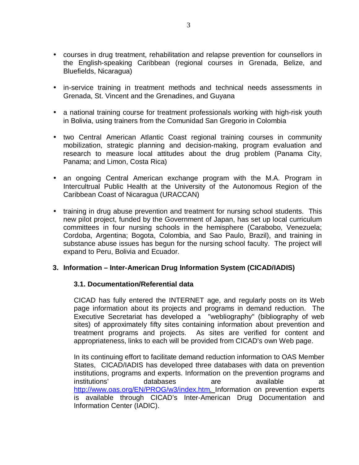- courses in drug treatment, rehabilitation and relapse prevention for counsellors in the English-speaking Caribbean (regional courses in Grenada, Belize, and Bluefields, Nicaragua)
- in-service training in treatment methods and technical needs assessments in Grenada, St. Vincent and the Grenadines, and Guyana
- a national training course for treatment professionals working with high-risk youth in Bolivia, using trainers from the Comunidad San Gregorio in Colombia
- two Central American Atlantic Coast regional training courses in community mobilization, strategic planning and decision-making, program evaluation and research to measure local attitudes about the drug problem (Panama City, Panama; and Limon, Costa Rica)
- an ongoing Central American exchange program with the M.A. Program in Intercultrual Public Health at the University of the Autonomous Region of the Caribbean Coast of Nicaragua (URACCAN)
- training in drug abuse prevention and treatment for nursing school students. This new pilot project, funded by the Government of Japan, has set up local curriculum committees in four nursing schools in the hemisphere (Carabobo, Venezuela; Cordoba, Argentina; Bogota, Colombia, and Sao Paulo, Brazil), and training in substance abuse issues has begun for the nursing school faculty. The project will expand to Peru, Bolivia and Ecuador.

### **3. Information – Inter-American Drug Information System (CICAD/IADIS)**

### **3.1. Documentation/Referential data**

CICAD has fully entered the INTERNET age, and regularly posts on its Web page information about its projects and programs in demand reduction. The Executive Secretariat has developed a "webliography" (bibliography of web sites) of approximately fifty sites containing information about prevention and treatment programs and projects. As sites are verified for content and appropriateness, links to each will be provided from CICAD's own Web page.

In its continuing effort to facilitate demand reduction information to OAS Member States, CICAD/IADIS has developed three databases with data on prevention institutions, programs and experts. Information on the prevention programs and institutions' databases are available at http://www.oas.org/EN/PROG/w3/index.htm. Information on prevention experts is available through CICAD's Inter-American Drug Documentation and Information Center (IADIC).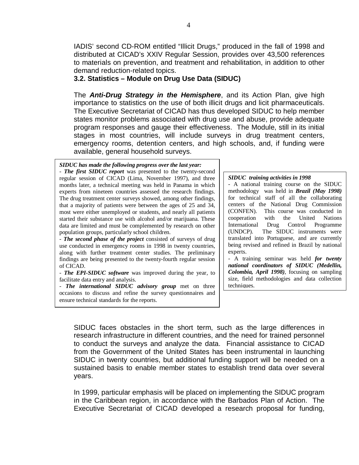IADIS' second CD-ROM entitled "Illicit Drugs," produced in the fall of 1998 and distributed at CICAD's XXIV Regular Session, provides over 43,500 references to materials on prevention, and treatment and rehabilitation, in addition to other demand reduction-related topics.

#### **3.2. Statistics – Module on Drug Use Data (SIDUC)**

The *Anti-Drug Strategy in the Hemisphere*, and its Action Plan, give high importance to statistics on the use of both illicit drugs and licit pharmaceuticals. The Executive Secretariat of CICAD has thus developed SIDUC to help member states monitor problems associated with drug use and abuse, provide adequate program responses and gauge their effectiveness. The Module, still in its initial stages in most countries, will include surveys in drug treatment centers, emergency rooms, detention centers, and high schools, and, if funding were available, general household surveys.

#### *SIDUC has made the following progress over the last year:*

- *The first SIDUC report* was presented to the twenty-second regular session of CICAD (Lima, November 1997), and three months later, a technical meeting was held in Panama in which experts from nineteen countries assessed the research findings. The drug treatment center surveys showed, among other findings, that a majority of patients were between the ages of 25 and 34, most were either unemployed or students, and nearly all patients started their substance use with alcohol and/or marijuana. These data are limited and must be complemented by research on other population groups, particularly school children.

- *The second phase of the project* consisted of surveys of drug use conducted in emergency rooms in 1998 in twenty countries, along with further treatment center studies. The preliminary findings are being presented to the twenty-fourth regular session of CICAD.

*The EPI-SIDUC software* was improved during the year, to facilitate data entry and analysis.

- *The international SIDUC advisory group* met on three occasions to discuss and refine the survey questionnaires and ensure technical standards for the reports.

#### *SIDUC training activities in 1998*

- A national training course on the SIDUC methodology was held in *Brazil (May 1998)* for technical staff of all the collaborating centers of the National Drug Commission (CONFEN). This course was conducted in cooperation with the United Nations International Drug Control Programme (UNDCP). The SIDUC instruments were translated into Portuguese, and are currently being revised and refined in Brazil by national experts.

- A training seminar was held *for twenty national coordinators of SIDUC (Medellin, Colombia, April 1998)*, focusing on sampling size, field methodologies and data collection techniques.

SIDUC faces obstacles in the short term, such as the large differences in research infrastructure in different countries, and the need for trained personnel to conduct the surveys and analyze the data. Financial assistance to CICAD from the Government of the United States has been instrumental in launching SIDUC in twenty countries, but additional funding support will be needed on a sustained basis to enable member states to establish trend data over several years.

In 1999, particular emphasis will be placed on implementing the SIDUC program in the Caribbean region, in accordance with the Barbados Plan of Action. The Executive Secretariat of CICAD developed a research proposal for funding,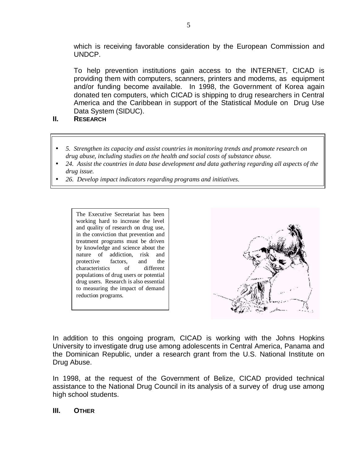which is receiving favorable consideration by the European Commission and UNDCP.

To help prevention institutions gain access to the INTERNET, CICAD is providing them with computers, scanners, printers and modems, as equipment and/or funding become available. In 1998, the Government of Korea again donated ten computers, which CICAD is shipping to drug researchers in Central America and the Caribbean in support of the Statistical Module on Drug Use Data System (SIDUC).

- **II. RESEARCH**
- *5. Strengthen its capacity and assist countries in monitoring trends and promote research on drug abuse, including studies on the health and social costs of substance abuse.*
- *24. Assist the countries in data base development and data gathering regarding all aspects of the drug issue.*
- *26. Develop impact indicators regarding programs and initiatives.*

The Executive Secretariat has been working hard to increase the level and quality of research on drug use, in the conviction that prevention and treatment programs must be driven by knowledge and science about the nature of addiction, risk and protective factors, and the characteristics of different populations of drug users or potential drug users. Research is also essential to measuring the impact of demand reduction programs.



In addition to this ongoing program, CICAD is working with the Johns Hopkins University to investigate drug use among adolescents in Central America, Panama and the Dominican Republic, under a research grant from the U.S. National Institute on Drug Abuse.

In 1998, at the request of the Government of Belize, CICAD provided technical assistance to the National Drug Council in its analysis of a survey of drug use among high school students.

### **III. OTHER**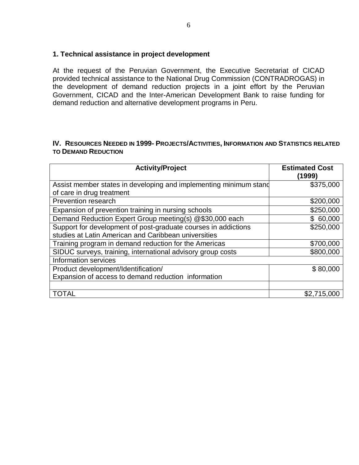### **1. Technical assistance in project development**

At the request of the Peruvian Government, the Executive Secretariat of CICAD provided technical assistance to the National Drug Commission (CONTRADROGAS) in the development of demand reduction projects in a joint effort by the Peruvian Government, CICAD and the Inter-American Development Bank to raise funding for demand reduction and alternative development programs in Peru.

#### **IV. RESOURCES NEEDED IN 1999- PROJECTS/ACTIVITIES, INFORMATION AND STATISTICS RELATED TO DEMAND REDUCTION**

| <b>Activity/Project</b>                                           | <b>Estimated Cost</b><br>(1999) |
|-------------------------------------------------------------------|---------------------------------|
| Assist member states in developing and implementing minimum stand | \$375,000                       |
| of care in drug treatment                                         |                                 |
| Prevention research                                               | \$200,000                       |
| Expansion of prevention training in nursing schools               | \$250,000                       |
| Demand Reduction Expert Group meeting(s) @\$30,000 each           | \$60,000                        |
| Support for development of post-graduate courses in addictions    | \$250,000                       |
| studies at Latin American and Caribbean universities              |                                 |
| Training program in demand reduction for the Americas             | \$700,000                       |
| SIDUC surveys, training, international advisory group costs       | \$800,000                       |
| Information services                                              |                                 |
| Product development/Identification/                               | \$80,000                        |
| Expansion of access to demand reduction information               |                                 |
|                                                                   |                                 |
| <b>TOTAL</b>                                                      | \$2,715,000                     |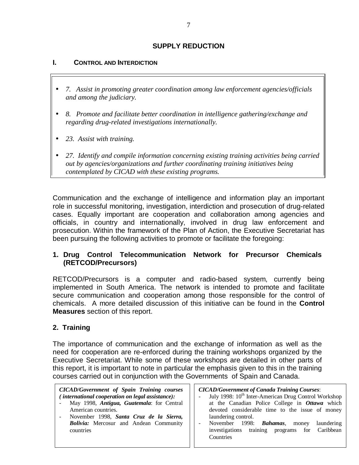## **SUPPLY REDUCTION**

### **I. CONTROL AND INTERDICTION**

- *7. Assist in promoting greater coordination among law enforcement agencies/officials and among the judiciary.*
- *8. Promote and facilitate better coordination in intelligence gathering/exchange and regarding drug-related investigations internationally.*
- *23. Assist with training.*
- *27. Identify and compile information concerning existing training activities being carried out by agencies/organizations and further coordinating training initiatives being contemplated by CICAD with these existing programs.*

Communication and the exchange of intelligence and information play an important role in successful monitoring, investigation, interdiction and prosecution of drug-related cases. Equally important are cooperation and collaboration among agencies and officials, in country and internationally, involved in drug law enforcement and prosecution. Within the framework of the Plan of Action, the Executive Secretariat has been pursuing the following activities to promote or facilitate the foregoing:

## **1. Drug Control Telecommunication Network for Precursor Chemicals (RETCOD/Precursors)**

RETCOD/Precursors is a computer and radio-based system, currently being implemented in South America. The network is intended to promote and facilitate secure communication and cooperation among those responsible for the control of chemicals. A more detailed discussion of this initiative can be found in the **Control Measures** section of this report.

### **2. Training**

The importance of communication and the exchange of information as well as the need for cooperation are re-enforced during the training workshops organized by the Executive Secretariat. While some of these workshops are detailed in other parts of this report, it is important to note in particular the emphasis given to this in the training courses carried out in conjunction with the Governments of Spain and Canada.

*CICAD/Government of Spain Training courses ( international cooperation on legal assistance):* 

- May 1998, *Antigua, Guatemala*: for Central American countries.
- November 1998, *Santa Cruz de la Sierra, Bolivia:* Mercosur and Andean Community countries

*CICAD/Government of Canada Training Courses*:

- July 1998: 10<sup>th</sup> Inter-American Drug Control Workshop at the Canadian Police College in *Ottawa* which devoted considerable time to the issue of money laundering control.
- November 1998: *Bahamas*, money laundering investigations training programs for Caribbean **Countries**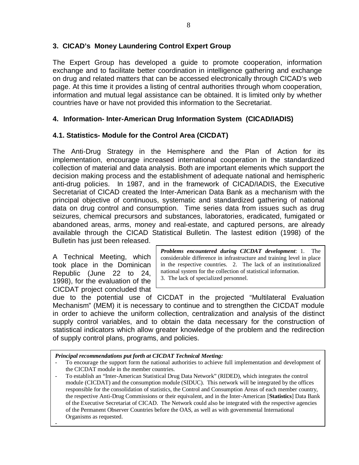## **3. CICAD's Money Laundering Control Expert Group**

The Expert Group has developed a guide to promote cooperation, information exchange and to facilitate better coordination in intelligence gathering and exchange on drug and related matters that can be accessed electronically through CICAD's web page. At this time it provides a listing of central authorities through whom cooperation, information and mutual legal assistance can be obtained. It is limited only by whether countries have or have not provided this information to the Secretariat.

## **4. Information- Inter-American Drug Information System (CICAD/IADIS)**

# **4.1. Statistics- Module for the Control Area (CICDAT)**

The Anti-Drug Strategy in the Hemisphere and the Plan of Action for its implementation, encourage increased international cooperation in the standardized collection of material and data analysis. Both are important elements which support the decision making process and the establishment of adequate national and hemispheric anti-drug policies. In 1987, and in the framework of CICAD/IADIS, the Executive Secretariat of CICAD created the Inter-American Data Bank as a mechanism with the principal objective of continuous, systematic and standardized gathering of national data on drug control and consumption. Time series data from issues such as drug seizures, chemical precursors and substances, laboratories, eradicated, fumigated or abandoned areas, arms, money and real-estate, and captured persons, are already available through the CICAD Statistical Bulletin. The lastest edition (1998) of the Bulletin has just been released.

A Technical Meeting, which took place in the Dominican Republic (June 22 to 24, 1998), for the evaluation of the CICDAT project concluded that

-

*Problems encountered during CICDAT development*: 1. The considerable difference in infrastructure and training level in place in the respective countries. 2. The lack of an institutionalized national system for the collection of statistical information. 3. The lack of specialized personnel.

due to the potential use of CICDAT in the projected "Multilateral Evaluation Mechanism" (MEM) it is necessary to continue and to strengthen the CICDAT module in order to achieve the uniform collection, centralization and analysis of the distinct supply control variables, and to obtain the data necessary for the construction of statistical indicators which allow greater knowledge of the problem and the redirection of supply control plans, programs, and policies.

*Principal recommendations put forth at CICDAT Technical Meeting:* 

- To encourage the support form the national authorities to achieve full implementation and development of the CICDAT module in the member countries.
- To establish an "Inter-American Statistical Drug Data Network" (RIDED), which integrates the control module (CICDAT) and the consumption module (SIDUC). This network will be integrated by the offices responsible for the consolidation of statistics, the Control and Consumption Areas of each member country, the respective Anti-Drug Commissions or their equivalent, and in the Inter-American [**Statistics**] Data Bank of the Executive Secretariat of CICAD. The Network could also be integrated with the respective agencies of the Permanent Observer Countries before the OAS, as well as with governmental International Organisms as requested.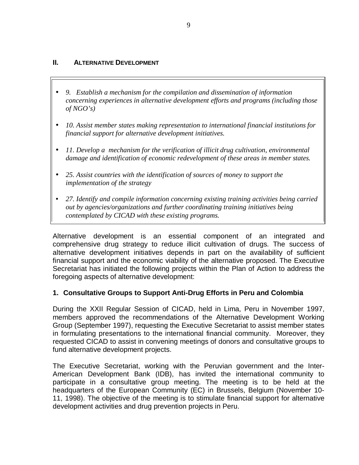#### **II.** ALTERNATIVE DEVELOPMENT

- *9. Establish a mechanism for the compilation and dissemination of information concerning experiences in alternative development efforts and programs (including those of NGO's)*
- *10. Assist member states making representation to international financial institutions for financial support for alternative development initiatives.*
- *11. Develop a mechanism for the verification of illicit drug cultivation, environmental damage and identification of economic redevelopment of these areas in member states.*
- *25. Assist countries with the identification of sources of money to support the implementation of the strategy*
- *27. Identify and compile information concerning existing training activities being carried out by agencies/organizations and further coordinating training initiatives being contemplated by CICAD with these existing programs.*

Alternative development is an essential component of an integrated and comprehensive drug strategy to reduce illicit cultivation of drugs. The success of alternative development initiatives depends in part on the availability of sufficient financial support and the economic viability of the alternative proposed. The Executive Secretariat has initiated the following projects within the Plan of Action to address the foregoing aspects of alternative development:

### **1. Consultative Groups to Support Anti-Drug Efforts in Peru and Colombia**

During the XXII Regular Session of CICAD, held in Lima, Peru in November 1997, members approved the recommendations of the Alternative Development Working Group (September 1997), requesting the Executive Secretariat to assist member states in formulating presentations to the international financial community. Moreover, they requested CICAD to assist in convening meetings of donors and consultative groups to fund alternative development projects.

The Executive Secretariat, working with the Peruvian government and the Inter-American Development Bank (IDB), has invited the international community to participate in a consultative group meeting. The meeting is to be held at the headquarters of the European Community (EC) in Brussels, Belgium (November 10- 11, 1998). The objective of the meeting is to stimulate financial support for alternative development activities and drug prevention projects in Peru.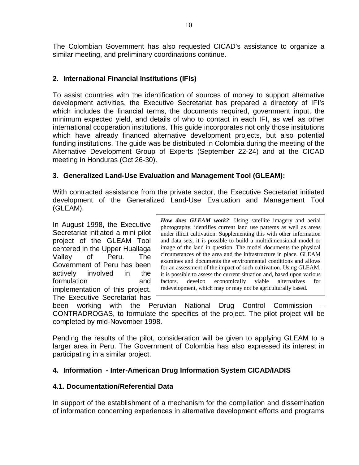The Colombian Government has also requested CICAD's assistance to organize a similar meeting, and preliminary coordinations continue.

## **2. International Financial Institutions (IFIs)**

To assist countries with the identification of sources of money to support alternative development activities, the Executive Secretariat has prepared a directory of IFI's which includes the financial terms, the documents required, government input, the minimum expected yield, and details of who to contact in each IFI, as well as other international cooperation institutions. This guide incorporates not only those institutions which have already financed alternative development projects, but also potential funding institutions. The guide was be distributed in Colombia during the meeting of the Alternative Development Group of Experts (September 22-24) and at the CICAD meeting in Honduras (Oct 26-30).

## **3. Generalized Land-Use Evaluation and Management Tool (GLEAM):**

With contracted assistance from the private sector, the Executive Secretariat initiated development of the Generalized Land-Use Evaluation and Management Tool (GLEAM).

In August 1998, the Executive Secretariat initiated a mini pilot project of the GLEAM Tool centered in the Upper Huallaga Valley of Peru. The Government of Peru has been actively involved in the formulation and implementation of this project. The Executive Secretariat has

*How does GLEAM work?*: Using satellite imagery and aerial photography, identifies current land use patterns as well as areas under illicit cultivation. Supplementing this with other information and data sets, it is possible to build a multidimensional model or image of the land in question. The model documents the physical circumstances of the area and the infrastructure in place. GLEAM examines and documents the environmental conditions and allows for an assessment of the impact of such cultivation. Using GLEAM, it is possible to assess the current situation and, based upon various factors, develop economically viable alternatives for redevelopment, which may or may not be agriculturally based.

been working with the Peruvian National Drug Control Commission – CONTRADROGAS, to formulate the specifics of the project. The pilot project will be completed by mid-November 1998.

Pending the results of the pilot, consideration will be given to applying GLEAM to a larger area in Peru. The Government of Colombia has also expressed its interest in participating in a similar project.

## **4. Information - Inter-American Drug Information System CICAD/IADIS**

## **4.1. Documentation/Referential Data**

In support of the establishment of a mechanism for the compilation and dissemination of information concerning experiences in alternative development efforts and programs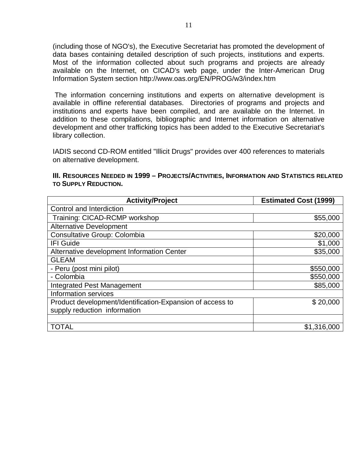(including those of NGO's), the Executive Secretariat has promoted the development of data bases containing detailed description of such projects, institutions and experts. Most of the information collected about such programs and projects are already available on the Internet, on CICAD's web page, under the Inter-American Drug Information System section http://www.oas.org/EN/PROG/w3/index.htm

The information concerning institutions and experts on alternative development is available in offline referential databases. Directories of programs and projects and institutions and experts have been compiled, and are available on the Internet. In addition to these compilations, bibliographic and Internet information on alternative development and other trafficking topics has been added to the Executive Secretariat's library collection.

IADIS second CD-ROM entitled "Illicit Drugs" provides over 400 references to materials on alternative development.

#### **III.** RESOURCES **NEEDED** IN **1999 – PROJECTS/ACTIVITIES, INFORMATION AND STATISTICS RELATED TO SUPPLY REDUCTION.**

| <b>Activity/Project</b>                                   | <b>Estimated Cost (1999)</b> |
|-----------------------------------------------------------|------------------------------|
| Control and Interdiction                                  |                              |
| Training: CICAD-RCMP workshop                             | \$55,000                     |
| <b>Alternative Development</b>                            |                              |
| <b>Consultative Group: Colombia</b>                       | \$20,000                     |
| <b>IFI Guide</b>                                          | \$1,000                      |
| Alternative development Information Center                | \$35,000                     |
| <b>GLEAM</b>                                              |                              |
| - Peru (post mini pilot)                                  | \$550,000                    |
| - Colombia                                                | \$550,000                    |
| <b>Integrated Pest Management</b>                         | \$85,000                     |
| Information services                                      |                              |
| Product development/Identification-Expansion of access to | \$20,000                     |
| supply reduction information                              |                              |
|                                                           |                              |
| <b>TOTAL</b>                                              | \$1,316,000                  |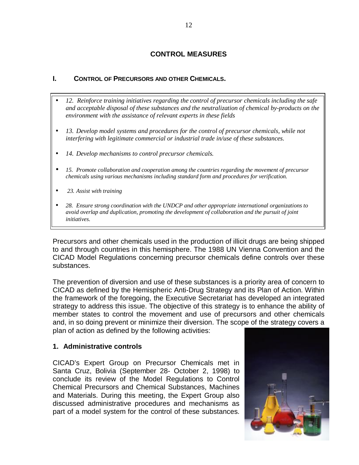## **CONTROL MEASURES**

## **I. CONTROL OF PRECURSORS AND OTHER CHEMICALS.**

- *12. Reinforce training initiatives regarding the control of precursor chemicals including the safe and acceptable disposal of these substances and the neutralization of chemical by-products on the environment with the assistance of relevant experts in these fields*
- *13. Develop model systems and procedures for the control of precursor chemicals, while not interfering with legitimate commercial or industrial trade in/use of these substances.*
- *14. Develop mechanisms to control precursor chemicals.*
- *15. Promote collaboration and cooperation among the countries regarding the movement of precursor chemicals using various mechanisms including standard form and procedures for verification.*
- *23. Assist with training*
- *28. Ensure strong coordination with the UNDCP and other appropriate international organizations to avoid overlap and duplication, promoting the development of collaboration and the pursuit of joint initiatives.*

Precursors and other chemicals used in the production of illicit drugs are being shipped to and through countries in this hemisphere. The 1988 UN Vienna Convention and the CICAD Model Regulations concerning precursor chemicals define controls over these substances.

The prevention of diversion and use of these substances is a priority area of concern to CICAD as defined by the Hemispheric Anti-Drug Strategy and its Plan of Action. Within the framework of the foregoing, the Executive Secretariat has developed an integrated strategy to address this issue. The objective of this strategy is to enhance the ability of member states to control the movement and use of precursors and other chemicals and, in so doing prevent or minimize their diversion. The scope of the strategy covers a plan of action as defined by the following activities:

### **1. Administrative controls**

CICAD's Expert Group on Precursor Chemicals met in Santa Cruz, Bolivia (September 28- October 2, 1998) to conclude its review of the Model Regulations to Control Chemical Precursors and Chemical Substances, Machines and Materials. During this meeting, the Expert Group also discussed administrative procedures and mechanisms as part of a model system for the control of these substances.

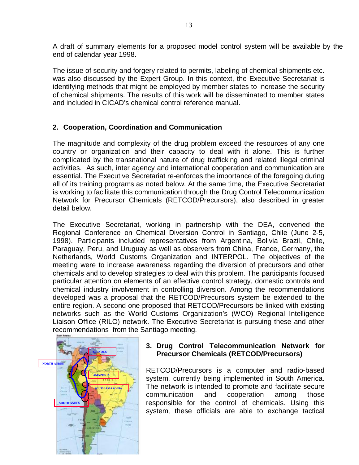A draft of summary elements for a proposed model control system will be available by the end of calendar year 1998.

The issue of security and forgery related to permits, labeling of chemical shipments etc. was also discussed by the Expert Group. In this context, the Executive Secretariat is identifying methods that might be employed by member states to increase the security of chemical shipments. The results of this work will be disseminated to member states and included in CICAD's chemical control reference manual.

## **2. Cooperation, Coordination and Communication**

The magnitude and complexity of the drug problem exceed the resources of any one country or organization and their capacity to deal with it alone. This is further complicated by the transnational nature of drug trafficking and related illegal criminal activities. As such, inter agency and international cooperation and communication are essential. The Executive Secretariat re-enforces the importance of the foregoing during all of its training programs as noted below. At the same time, the Executive Secretariat is working to facilitate this communication through the Drug Control Telecommunication Network for Precursor Chemicals (RETCOD/Precursors), also described in greater detail below.

The Executive Secretariat, working in partnership with the DEA, convened the Regional Conference on Chemical Diversion Control in Santiago, Chile (June 2-5, 1998). Participants included representatives from Argentina, Bolivia Brazil, Chile, Paraguay, Peru, and Uruguay as well as observers from China, France, Germany, the Netherlands, World Customs Organization and INTERPOL. The objectives of the meeting were to increase awareness regarding the diversion of precursors and other chemicals and to develop strategies to deal with this problem. The participants focused particular attention on elements of an effective control strategy, domestic controls and chemical industry involvement in controlling diversion. Among the recommendations developed was a proposal that the RETCOD/Precursors system be extended to the entire region. A second one proposed that RETCOD/Precursors be linked with existing networks such as the World Customs Organization's (WCO) Regional Intelligence Liaison Office (RILO) network. The Executive Secretariat is pursuing these and other recommendations from the Santiago meeting.



## **3. Drug Control Telecommunication Network for Precursor Chemicals (RETCOD/Precursors)**

RETCOD/Precursors is a computer and radio-based system, currently being implemented in South America. The network is intended to promote and facilitate secure communication and cooperation among those responsible for the control of chemicals. Using this system, these officials are able to exchange tactical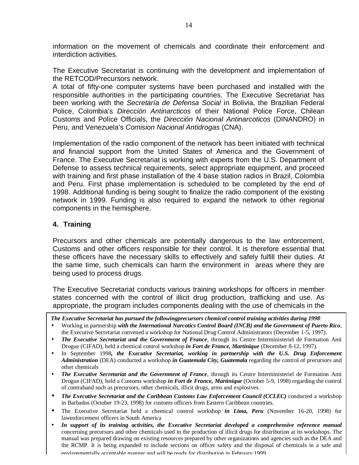information on the movement of chemicals and coordinate their enforcement and interdiction activities.

The Executive Secretariat is continuing with the development and implementation of the RETCOD/Precursors network.

A total of fifty-one computer systems have been purchased and installed with the responsible authorities in the participating countries. The Executive Secretariat has been working with the *Secretaría de Defensa Social* in Bolivia, the Brazilian Federal Police, Colombia's *Dirección Antinarcticos* of their National Police Force, Chilean Customs and Police Officials, the *Dirección Nacional Antinarcoticos* (DINANDRO) in Peru, and Venezuela's *Comision Nacional Antidrogas* (CNA).

Implementation of the radio component of the network has been initiated with technical and financial support from the United States of America and the Government of France. The Executive Secretariat is working with experts from the U.S. Department of Defense to assess technical requirements, select appropriate equipment, and proceed with training and first phase installation of the 4 base station radios in Brazil, Colombia and Peru. First phase implementation is scheduled to be completed by the end of 1998. Additional funding is being sought to finalize the radio component of the existing network in 1999. Funding is also required to expand the network to other regional components in the hemisphere.

## **4. Training**

Precursors and other chemicals are potentially dangerous to the law enforcement, Customs and other officers responsible for their control. It is therefore essential that these officers have the necessary skills to effectively and safely fulfill their duties. At the same time, such chemicals can harm the environment in areas where they are being used to process drugs.

The Executive Secretariat conducts various training workshops for officers in member states concerned with the control of illicit drug production, trafficking and use. As appropriate, the program includes components dealing with the use of chemicals in the

*The Executive Secretariat has pursued the followingprecursors chemical control training activities during 1998*:

- Working in partnership *with the International Narcotics Control Board (INCB) and the Government of Puerto Rico*, the Executive Secretariat convened a workshop for National Drug Control Administrators (December 1-5, 1997).
- *The Executive Secretariat and the Government of France*, through its Centre Interministeriel de Formation Anti Drogue (CIFAD), held a chemical control workshop *in Fort de France, Martinique* (December 8-12, 1997).
- In September 1998*, the Executive Secretariat, working in partnership with the U.S. Drug Enforcement Administration* (DEA) conducted a workshop *in Guatemala City, Guatemala* regarding the control of precursors and other chemicals
- *The Executive Secretariat and the Government of France*, through its Centre Interministeriel de Formation Anti Drogue (CIFAD), held a Customs workshop *in Fort de France, Martinique* (October 5-9, 1998) regarding the control of contraband such as precursors, other chemicals, illicit drugs, arms and explosives.
- *The Executive Secretariat and the Caribbean Customs Law Enforcement Council (CCLEC)* conducted a workshop in Barbados (October 19-23, 1998) for customs officers from Eastern Caribbean countries.
- The Executive Secretariat held a chemical control workshop *in Lima, Peru* (November 16-20, 1998) for lawenforcement officers in South America
- *In support of its training activities, the Executive Secretariat developed a comprehensive reference manual* concerning precursors and other chemicals used in the production of illicit drugs for distribution at its workshops. The manual was prepared drawing on existing resources prepared by other organizations and agencies such as the DEA and the RCMP. It is being expanded to include sections on officer safety and the disposal of chemicals in a safe and environmentally acceptable manner and will be ready for distribution in February 1999.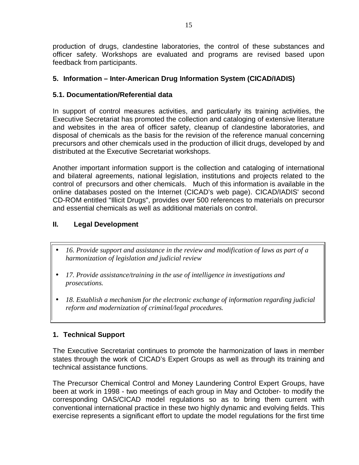production of drugs, clandestine laboratories, the control of these substances and officer safety. Workshops are evaluated and programs are revised based upon feedback from participants.

## **5. Information – Inter-American Drug Information System (CICAD/IADIS)**

## **5.1. Documentation/Referential data**

In support of control measures activities, and particularly its training activities, the Executive Secretariat has promoted the collection and cataloging of extensive literature and websites in the area of officer safety, cleanup of clandestine laboratories, and disposal of chemicals as the basis for the revision of the reference manual concerning precursors and other chemicals used in the production of illicit drugs, developed by and distributed at the Executive Secretariat workshops.

Another important information support is the collection and cataloging of international and bilateral agreements, national legislation, institutions and projects related to the control of precursors and other chemicals. Much of this information is available in the online databases posted on the Internet (CICAD's web page). CICAD/IADIS' second CD-ROM entitled "Illicit Drugs", provides over 500 references to materials on precursor and essential chemicals as well as additional materials on control.

# **II. Legal Development**

- *16. Provide support and assistance in the review and modification of laws as part of a harmonization of legislation and judicial review*
- *17. Provide assistance/training in the use of intelligence in investigations and prosecutions.*
- *18. Establish a mechanism for the electronic exchange of information regarding judicial reform and modernization of criminal/legal procedures.*

## **1. Technical Support**

The Executive Secretariat continues to promote the harmonization of laws in member states through the work of CICAD's Expert Groups as well as through its training and technical assistance functions.

The Precursor Chemical Control and Money Laundering Control Expert Groups, have been at work in 1998 - two meetings of each group in May and October- to modify the corresponding OAS/CICAD model regulations so as to bring them current with conventional international practice in these two highly dynamic and evolving fields. This exercise represents a significant effort to update the model regulations for the first time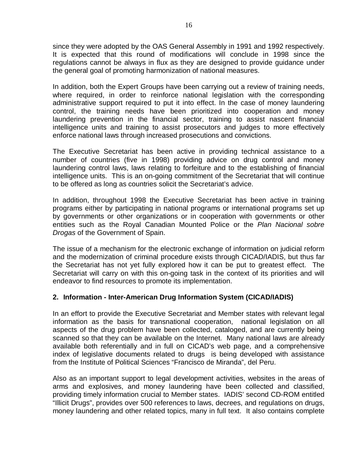since they were adopted by the OAS General Assembly in 1991 and 1992 respectively. It is expected that this round of modifications will conclude in 1998 since the regulations cannot be always in flux as they are designed to provide guidance under the general goal of promoting harmonization of national measures.

In addition, both the Expert Groups have been carrying out a review of training needs, where required, in order to reinforce national legislation with the corresponding administrative support required to put it into effect. In the case of money laundering control, the training needs have been prioritized into cooperation and money laundering prevention in the financial sector, training to assist nascent financial intelligence units and training to assist prosecutors and judges to more effectively enforce national laws through increased prosecutions and convictions.

The Executive Secretariat has been active in providing technical assistance to a number of countries (five in 1998) providing advice on drug control and money laundering control laws, laws relating to forfeiture and to the establishing of financial intelligence units. This is an on-going commitment of the Secretariat that will continue to be offered as long as countries solicit the Secretariat's advice.

In addition, throughout 1998 the Executive Secretariat has been active in training programs either by participating in national programs or international programs set up by governments or other organizations or in cooperation with governments or other entities such as the Royal Canadian Mounted Police or the *Plan Nacional sobre Drogas* of the Government of Spain.

The issue of a mechanism for the electronic exchange of information on judicial reform and the modernization of criminal procedure exists through CICAD/IADIS, but thus far the Secretariat has not yet fully explored how it can be put to greatest effect. The Secretariat will carry on with this on-going task in the context of its priorities and will endeavor to find resources to promote its implementation.

### **2. Information - Inter-American Drug Information System (CICAD/IADIS)**

In an effort to provide the Executive Secretariat and Member states with relevant legal information as the basis for transnational cooperation, national legislation on all aspects of the drug problem have been collected, cataloged, and are currently being scanned so that they can be available on the Internet. Many national laws are already available both referentially and in full on CICAD's web page, and a comprehensive index of legislative documents related to drugs is being developed with assistance from the Institute of Political Sciences "Francisco de Miranda", del Peru.

Also as an important support to legal development activities, websites in the areas of arms and explosives, and money laundering have been collected and classified, providing timely information crucial to Member states. IADIS' second CD-ROM entitled "Illicit Drugs", provides over 500 references to laws, decrees, and regulations on drugs, money laundering and other related topics, many in full text. It also contains complete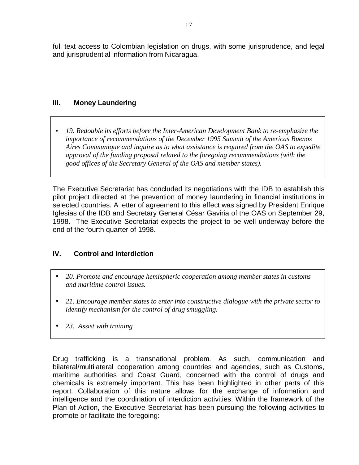full text access to Colombian legislation on drugs, with some jurisprudence, and legal and jurisprudential information from Nicaragua.

## **III. Money Laundering**

• *19. Redouble its efforts before the Inter-American Development Bank to re-emphasize the importance of recommendations of the December 1995 Summit of the Americas Buenos Aires Communique and inquire as to what assistance is required from the OAS to expedite approval of the funding proposal related to the foregoing recommendations (with the good offices of the Secretary General of the OAS and member states).*

The Executive Secretariat has concluded its negotiations with the IDB to establish this pilot project directed at the prevention of money laundering in financial institutions in selected countries. A letter of agreement to this effect was signed by President Enrique Iglesias of the IDB and Secretary General César Gaviria of the OAS on September 29, 1998. The Executive Secretariat expects the project to be well underway before the end of the fourth quarter of 1998.

# **IV. Control and Interdiction**

- *20. Promote and encourage hemispheric cooperation among member states in customs and maritime control issues.*
- *21. Encourage member states to enter into constructive dialogue with the private sector to identify mechanism for the control of drug smuggling.*
- *23. Assist with training*

Drug trafficking is a transnational problem. As such, communication and bilateral/multilateral cooperation among countries and agencies, such as Customs, maritime authorities and Coast Guard, concerned with the control of drugs and chemicals is extremely important. This has been highlighted in other parts of this report. Collaboration of this nature allows for the exchange of information and intelligence and the coordination of interdiction activities. Within the framework of the Plan of Action, the Executive Secretariat has been pursuing the following activities to promote or facilitate the foregoing: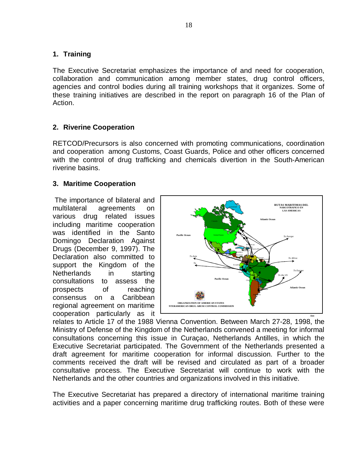## **1. Training**

The Executive Secretariat emphasizes the importance of and need for cooperation, collaboration and communication among member states, drug control officers, agencies and control bodies during all training workshops that it organizes. Some of these training initiatives are described in the report on paragraph 16 of the Plan of Action.

## **2. Riverine Cooperation**

RETCOD/Precursors is also concerned with promoting communications, coordination and cooperation among Customs, Coast Guards, Police and other officers concerned with the control of drug trafficking and chemicals divertion in the South-American riverine basins.

### **3. Maritime Cooperation**

The importance of bilateral and multilateral agreements on various drug related issues including maritime cooperation was identified in the Santo Domingo Declaration Against Drugs (December 9, 1997). The Declaration also committed to support the Kingdom of the Netherlands in starting consultations to assess the prospects of reaching consensus on a Caribbean regional agreement on maritime cooperation particularly as it



relates to Article 17 of the 1988 Vienna Convention. Between March 27-28, 1998, the Ministry of Defense of the Kingdom of the Netherlands convened a meeting for informal consultations concerning this issue in Curaçao, Netherlands Antilles, in which the Executive Secretariat participated. The Government of the Netherlands presented a draft agreement for maritime cooperation for informal discussion. Further to the comments received the draft will be revised and circulated as part of a broader consultative process. The Executive Secretariat will continue to work with the Netherlands and the other countries and organizations involved in this initiative.

The Executive Secretariat has prepared a directory of international maritime training activities and a paper concerning maritime drug trafficking routes. Both of these were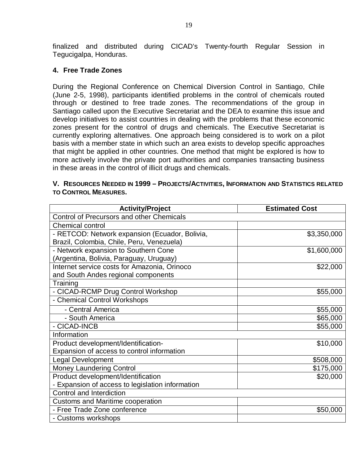finalized and distributed during CICAD's Twenty-fourth Regular Session in Tegucigalpa, Honduras.

#### **4. Free Trade Zones**

During the Regional Conference on Chemical Diversion Control in Santiago, Chile (June 2-5, 1998), participants identified problems in the control of chemicals routed through or destined to free trade zones. The recommendations of the group in Santiago called upon the Executive Secretariat and the DEA to examine this issue and develop initiatives to assist countries in dealing with the problems that these economic zones present for the control of drugs and chemicals. The Executive Secretariat is currently exploring alternatives. One approach being considered is to work on a pilot basis with a member state in which such an area exists to develop specific approaches that might be applied in other countries. One method that might be explored is how to more actively involve the private port authorities and companies transacting business in these areas in the control of illicit drugs and chemicals.

| V. RESOURCES NEEDED IN 1999 - PROJECTS/ACTIVITIES, INFORMATION AND STATISTICS RELATED |  |
|---------------------------------------------------------------------------------------|--|
| <b>TO CONTROL MEASURES.</b>                                                           |  |

| <b>Activity/Project</b>                          | <b>Estimated Cost</b> |  |
|--------------------------------------------------|-----------------------|--|
| <b>Control of Precursors and other Chemicals</b> |                       |  |
| <b>Chemical control</b>                          |                       |  |
| - RETCOD: Network expansion (Ecuador, Bolivia,   | \$3,350,000           |  |
| Brazil, Colombia, Chile, Peru, Venezuela)        |                       |  |
| - Network expansion to Southern Cone             | \$1,600,000           |  |
| (Argentina, Bolivia, Paraguay, Uruguay)          |                       |  |
| Internet service costs for Amazonia, Orinoco     | \$22,000              |  |
| and South Andes regional components              |                       |  |
| Training                                         |                       |  |
| - CICAD-RCMP Drug Control Workshop               | \$55,000              |  |
| - Chemical Control Workshops                     |                       |  |
| - Central America                                | \$55,000              |  |
| - South America                                  | \$65,000              |  |
| - CICAD-INCB                                     | \$55,000              |  |
| Information                                      |                       |  |
| Product development/Identification-              | \$10,000              |  |
| Expansion of access to control information       |                       |  |
| <b>Legal Development</b>                         | \$508,000             |  |
| <b>Money Laundering Control</b>                  | \$175,000             |  |
| Product development/Identification               | \$20,000              |  |
| - Expansion of access to legislation information |                       |  |
| Control and Interdiction                         |                       |  |
| <b>Customs and Maritime cooperation</b>          |                       |  |
| - Free Trade Zone conference                     | \$50,000              |  |
| - Customs workshops                              |                       |  |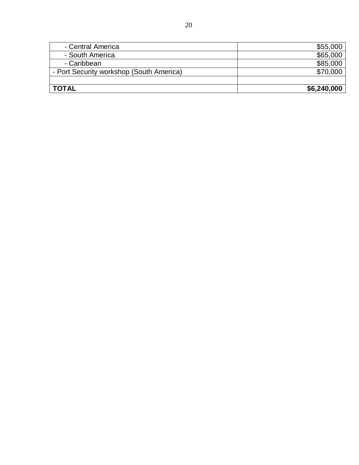| - Central America                        | \$55,000    |
|------------------------------------------|-------------|
| - South America                          | \$65,000    |
| - Caribbean                              | \$85,000    |
| - Port Security workshop (South America) | \$70,000    |
|                                          |             |
| <b>TOTAL</b>                             | \$6,240,000 |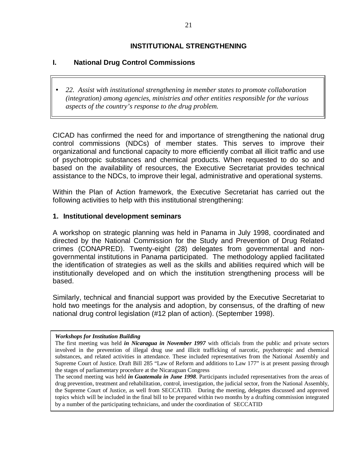## **INSTITUTIONAL STRENGTHENING**

## **I. National Drug Control Commissions**

• *22. Assist with institutional strengthening in member states to promote collaboration (integration) among agencies, ministries and other entities responsible for the various aspects of the country's response to the drug problem.*

CICAD has confirmed the need for and importance of strengthening the national drug control commissions (NDCs) of member states. This serves to improve their organizational and functional capacity to more efficiently combat all illicit traffic and use of psychotropic substances and chemical products. When requested to do so and based on the availability of resources, the Executive Secretariat provides technical assistance to the NDCs, to improve their legal, administrative and operational systems.

Within the Plan of Action framework, the Executive Secretariat has carried out the following activities to help with this institutional strengthening:

#### **1. Institutional development seminars**

A workshop on strategic planning was held in Panama in July 1998, coordinated and directed by the National Commission for the Study and Prevention of Drug Related crimes (CONAPRED). Twenty-eight (28) delegates from governmental and nongovernmental institutions in Panama participated. The methodology applied facilitated the identification of strategies as well as the skills and abilities required which will be institutionally developed and on which the institution strengthening process will be based.

Similarly, technical and financial support was provided by the Executive Secretariat to hold two meetings for the analysis and adoption, by consensus, of the drafting of new national drug control legislation (#12 plan of action). (September 1998).

#### *Workshops for Institution Building*

The second meeting was held *in Guatemala in June 1998*. Participants included representatives from the areas of drug prevention, treatment and rehabilitation, control, investigation, the judicial sector, from the National Assembly, the Supreme Court of Justice, as well from SECCATID. During the meeting, delegates discussed and approved topics which will be included in the final bill to be prepared within two months by a drafting commission integrated by a number of the participating technicians, and under the coordination of SECCATID

The first meeting was held *in Nicaragua in November 1997* with officials from the public and private sectors involved in the prevention of illegal drug use and illicit trafficking of narcotic, psychotropic and chemical substances, and related activities in attendance. These included representatives from the National Assembly and Supreme Court of Justice. Draft Bill 285 "Law of Reform and additions to Law 177" is at present passing through the stages of parliamentary procedure at the Nicaraguan Congress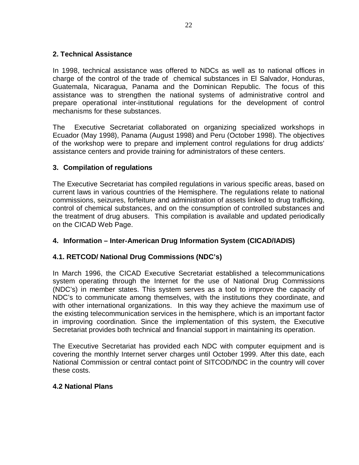## **2. Technical Assistance**

In 1998, technical assistance was offered to NDCs as well as to national offices in charge of the control of the trade of chemical substances in El Salvador, Honduras, Guatemala, Nicaragua, Panama and the Dominican Republic. The focus of this assistance was to strengthen the national systems of administrative control and prepare operational inter-institutional regulations for the development of control mechanisms for these substances.

The Executive Secretariat collaborated on organizing specialized workshops in Ecuador (May 1998), Panama (August 1998) and Peru (October 1998). The objectives of the workshop were to prepare and implement control regulations for drug addicts' assistance centers and provide training for administrators of these centers.

## **3. Compilation of regulations**

The Executive Secretariat has compiled regulations in various specific areas, based on current laws in various countries of the Hemisphere. The regulations relate to national commissions, seizures, forfeiture and administration of assets linked to drug trafficking, control of chemical substances, and on the consumption of controlled substances and the treatment of drug abusers. This compilation is available and updated periodically on the CICAD Web Page.

## **4. Information – Inter-American Drug Information System (CICAD/IADIS)**

### **4.1. RETCOD/ National Drug Commissions (NDC's)**

In March 1996, the CICAD Executive Secretariat established a telecommunications system operating through the Internet for the use of National Drug Commissions (NDC's) in member states. This system serves as a tool to improve the capacity of NDC's to communicate among themselves, with the institutions they coordinate, and with other international organizations. In this way they achieve the maximum use of the existing telecommunication services in the hemisphere, which is an important factor in improving coordination. Since the implementation of this system, the Executive Secretariat provides both technical and financial support in maintaining its operation.

The Executive Secretariat has provided each NDC with computer equipment and is covering the monthly Internet server charges until October 1999. After this date, each National Commission or central contact point of SITCOD/NDC in the country will cover these costs.

### **4.2 National Plans**